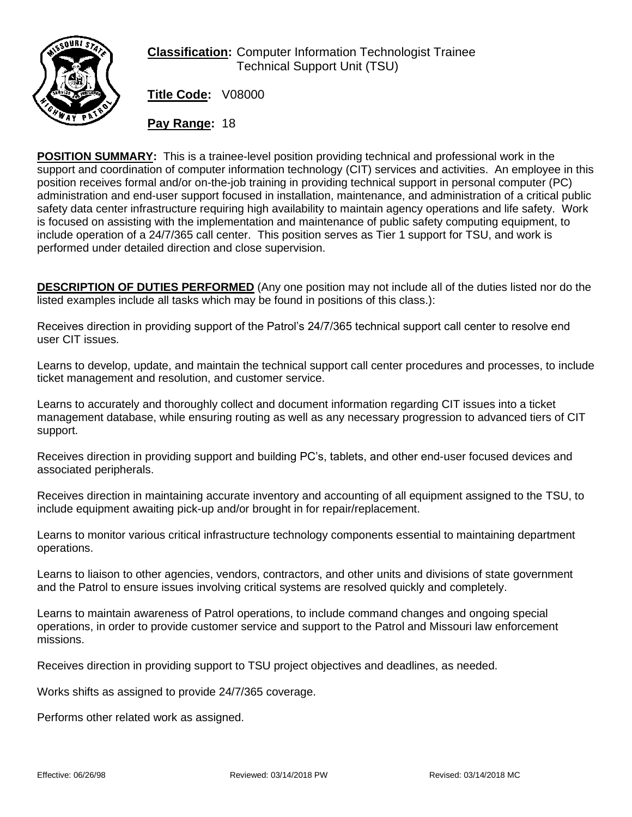

## **Classification:** Computer Information Technologist Trainee Technical Support Unit (TSU)

**Title Code:** V08000

**Pay Range:** 18

**POSITION SUMMARY:** This is a trainee-level position providing technical and professional work in the support and coordination of computer information technology (CIT) services and activities. An employee in this position receives formal and/or on-the-job training in providing technical support in personal computer (PC) administration and end-user support focused in installation, maintenance, and administration of a critical public safety data center infrastructure requiring high availability to maintain agency operations and life safety. Work is focused on assisting with the implementation and maintenance of public safety computing equipment, to include operation of a 24/7/365 call center. This position serves as Tier 1 support for TSU, and work is performed under detailed direction and close supervision.

**DESCRIPTION OF DUTIES PERFORMED** (Any one position may not include all of the duties listed nor do the listed examples include all tasks which may be found in positions of this class.):

Receives direction in providing support of the Patrol's 24/7/365 technical support call center to resolve end user CIT issues.

Learns to develop, update, and maintain the technical support call center procedures and processes, to include ticket management and resolution, and customer service.

Learns to accurately and thoroughly collect and document information regarding CIT issues into a ticket management database, while ensuring routing as well as any necessary progression to advanced tiers of CIT support.

Receives direction in providing support and building PC's, tablets, and other end-user focused devices and associated peripherals.

Receives direction in maintaining accurate inventory and accounting of all equipment assigned to the TSU, to include equipment awaiting pick-up and/or brought in for repair/replacement.

Learns to monitor various critical infrastructure technology components essential to maintaining department operations.

Learns to liaison to other agencies, vendors, contractors, and other units and divisions of state government and the Patrol to ensure issues involving critical systems are resolved quickly and completely.

Learns to maintain awareness of Patrol operations, to include command changes and ongoing special operations, in order to provide customer service and support to the Patrol and Missouri law enforcement missions.

Receives direction in providing support to TSU project objectives and deadlines, as needed.

Works shifts as assigned to provide 24/7/365 coverage.

Performs other related work as assigned.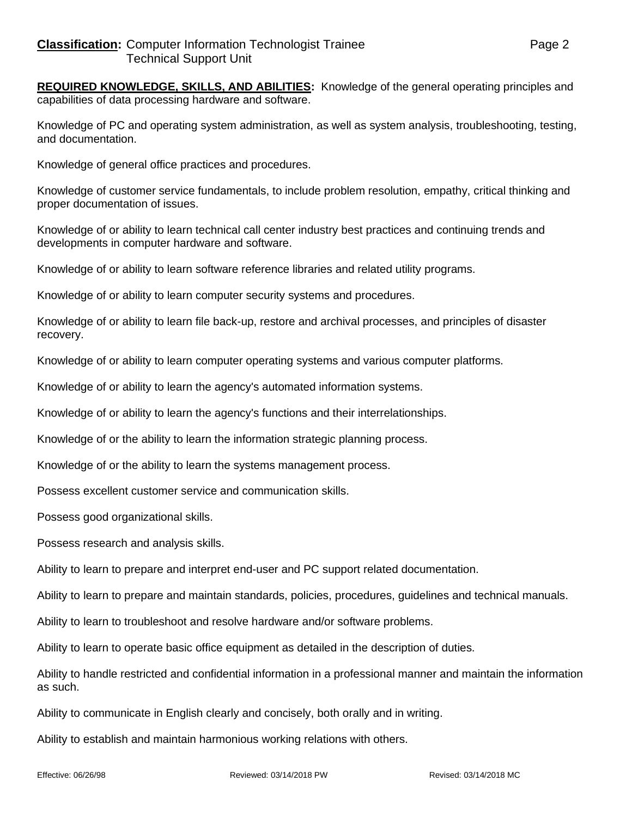**REQUIRED KNOWLEDGE, SKILLS, AND ABILITIES:** Knowledge of the general operating principles and capabilities of data processing hardware and software.

Knowledge of PC and operating system administration, as well as system analysis, troubleshooting, testing, and documentation.

Knowledge of general office practices and procedures.

Knowledge of customer service fundamentals, to include problem resolution, empathy, critical thinking and proper documentation of issues.

Knowledge of or ability to learn technical call center industry best practices and continuing trends and developments in computer hardware and software.

Knowledge of or ability to learn software reference libraries and related utility programs.

Knowledge of or ability to learn computer security systems and procedures.

Knowledge of or ability to learn file back-up, restore and archival processes, and principles of disaster recovery.

Knowledge of or ability to learn computer operating systems and various computer platforms.

Knowledge of or ability to learn the agency's automated information systems.

Knowledge of or ability to learn the agency's functions and their interrelationships.

Knowledge of or the ability to learn the information strategic planning process.

Knowledge of or the ability to learn the systems management process.

Possess excellent customer service and communication skills.

Possess good organizational skills.

Possess research and analysis skills.

Ability to learn to prepare and interpret end-user and PC support related documentation.

Ability to learn to prepare and maintain standards, policies, procedures, guidelines and technical manuals.

Ability to learn to troubleshoot and resolve hardware and/or software problems.

Ability to learn to operate basic office equipment as detailed in the description of duties.

Ability to handle restricted and confidential information in a professional manner and maintain the information as such.

Ability to communicate in English clearly and concisely, both orally and in writing.

Ability to establish and maintain harmonious working relations with others.